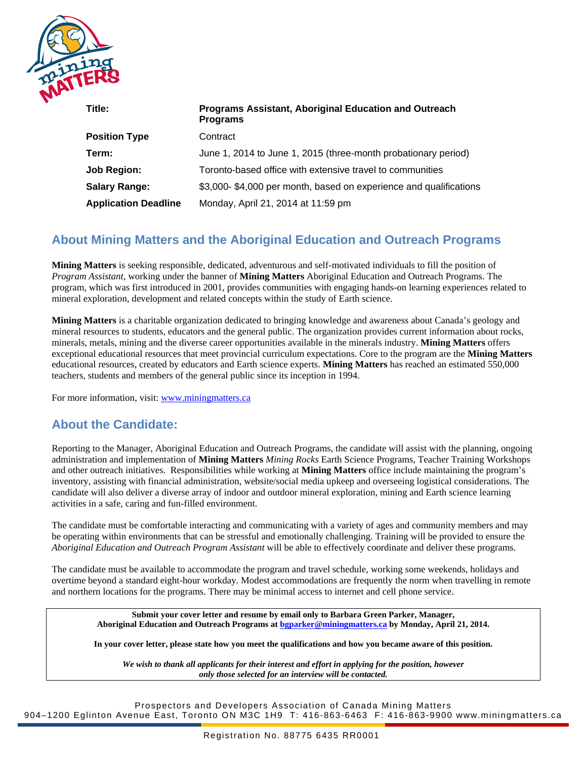

| Title:                      | <b>Programs Assistant, Aboriginal Education and Outreach</b><br><b>Programs</b> |
|-----------------------------|---------------------------------------------------------------------------------|
| <b>Position Type</b>        | Contract                                                                        |
| Term:                       | June 1, 2014 to June 1, 2015 (three-month probationary period)                  |
| <b>Job Region:</b>          | Toronto-based office with extensive travel to communities                       |
| <b>Salary Range:</b>        | \$3,000-\$4,000 per month, based on experience and qualifications               |
| <b>Application Deadline</b> | Monday, April 21, 2014 at 11:59 pm                                              |

# **About Mining Matters and the Aboriginal Education and Outreach Programs**

**Mining Matters** is seeking responsible, dedicated, adventurous and self-motivated individuals to fill the position of *Program Assistant*, working under the banner of **Mining Matters** Aboriginal Education and Outreach Programs. The program, which was first introduced in 2001, provides communities with engaging hands-on learning experiences related to mineral exploration, development and related concepts within the study of Earth science.

**Mining Matters** is a charitable organization dedicated to bringing knowledge and awareness about Canada's geology and mineral resources to students, educators and the general public. The organization provides current information about rocks, minerals, metals, mining and the diverse career opportunities available in the minerals industry. **Mining Matters** offers exceptional educational resources that meet provincial curriculum expectations. Core to the program are the **Mining Matters**  educational resources, created by educators and Earth science experts. **Mining Matters** has reached an estimated 550,000 teachers, students and members of the general public since its inception in 1994.

For more information, visit: [www.miningmatters.ca](http://www.miningmatters.ca/)

## **About the Candidate:**

Reporting to the Manager, Aboriginal Education and Outreach Programs, the candidate will assist with the planning, ongoing administration and implementation of **Mining Matters** *Mining Rocks* Earth Science Programs, Teacher Training Workshops and other outreach initiatives. Responsibilities while working at **Mining Matters** office include maintaining the program's inventory, assisting with financial administration, website/social media upkeep and overseeing logistical considerations. The candidate will also deliver a diverse array of indoor and outdoor mineral exploration, mining and Earth science learning activities in a safe, caring and fun-filled environment.

The candidate must be comfortable interacting and communicating with a variety of ages and community members and may be operating within environments that can be stressful and emotionally challenging. Training will be provided to ensure the *Aboriginal Education and Outreach Program Assistant* will be able to effectively coordinate and deliver these programs.

The candidate must be available to accommodate the program and travel schedule, working some weekends, holidays and overtime beyond a standard eight-hour workday. Modest accommodations are frequently the norm when travelling in remote and northern locations for the programs. There may be minimal access to internet and cell phone service.

**Submit your cover letter and resume by email only to Barbara Green Parker, Manager, Aboriginal Education and Outreach Programs at [bgparker@miningmatters.ca](mailto:bgparker@miningmatters.ca) by Monday, April 21, 2014.**

**In your cover letter, please state how you meet the qualifications and how you became aware of this position.**

*We wish to thank all applicants for their interest and effort in applying for the position, however only those selected for an interview will be contacted.*

Prospectors and Developers Association of Canada Mining Matters 904–1200 Eglinton Avenue East, Toronto ON M3C 1H9 T: 416-863-6463 F: 416-863-9900 www.miningmatters.ca